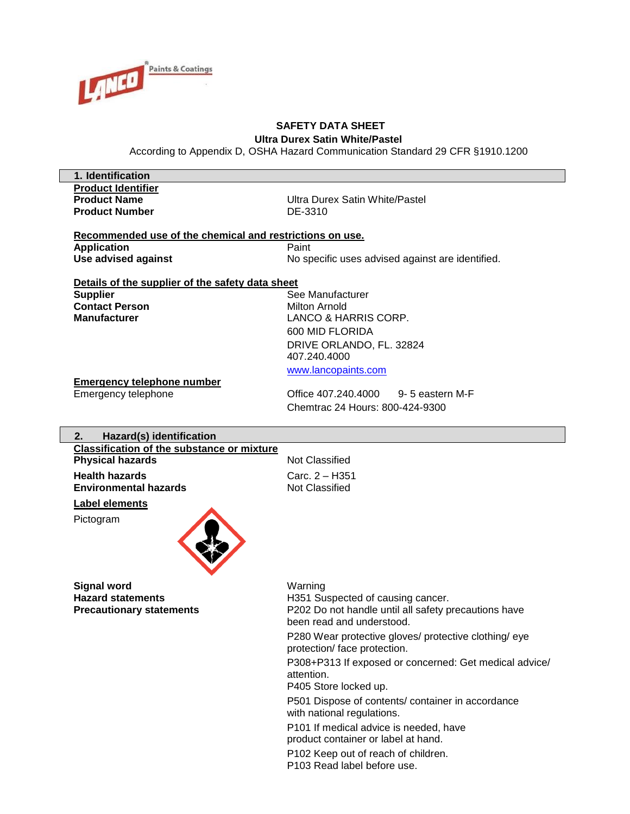

#### **SAFETY DATA SHEET Ultra Durex Satin White/Pastel**

According to Appendix D, OSHA Hazard Communication Standard 29 CFR §1910.1200

| 1. Identification                                        |                   |
|----------------------------------------------------------|-------------------|
| <b>Product Identifier</b>                                |                   |
| <b>Product Name</b>                                      | Ultra Durex Satin |
| <b>Product Number</b>                                    | DE-3310           |
| Recommended use of the chemical and restrictions on use. |                   |
| <b>Application</b>                                       | Paint             |

**Use advised against** No specific uses advised against are identified.

**Satin White/Pastel** 

#### **Details of the supplier of the safety data sheet**

**Contact Person** Milton Arnold

**Supplier** Supplier See Manufacturer **Manufacturer** LANCO & HARRIS CORP. 600 MID FLORIDA DRIVE ORLANDO, FL. 32824 407.240.4000

[www.lancopaints.com](http://www.lancopaints.com/)

#### **Emergency telephone number**

Emergency telephone Office 407.240.4000 9- 5 eastern M-F Chemtrac 24 Hours: 800-424-9300

#### **2. Hazard(s) identification Classification of the substance or mixture**

**Physical hazards** Not Classified **Health hazards**<br> **Environmental hazards**<br> **Environmental hazards**<br> **Carc. 2 – H351 Environmental hazards** 

#### **Label elements**

Pictogram



**Signal word** Warning

Hazard statements **H351** Suspected of causing cancer.

**Precautionary statements P202 Do not handle until all safety precautions have** been read and understood.

> P280 Wear protective gloves/ protective clothing/ eye protection/ face protection.

P308+P313 If exposed or concerned: Get medical advice/ attention.

P405 Store locked up.

P501 Dispose of contents/ container in accordance with national regulations.

P101 If medical advice is needed, have product container or label at hand.

P102 Keep out of reach of children. P103 Read label before use.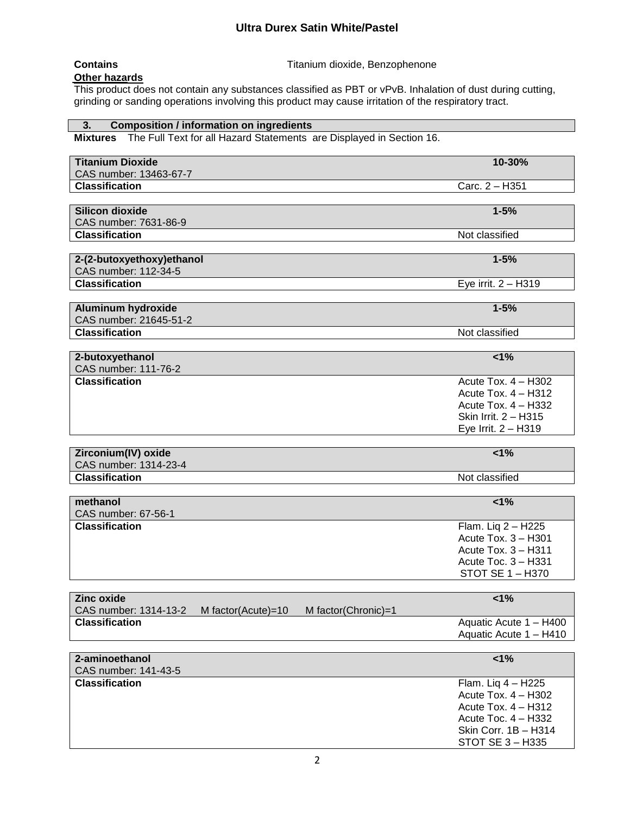**Contains Contains Contains Titanium** dioxide, Benzophenone

**Other hazards**

This product does not contain any substances classified as PBT or vPvB. Inhalation of dust during cutting, grinding or sanding operations involving this product may cause irritation of the respiratory tract.

# **3. Composition / information on ingredients**

**Mixtures** The Full Text for all Hazard Statements are Displayed in Section 16.

| <b>Titanium Dioxide</b>                                                                     | 10-30%                                           |
|---------------------------------------------------------------------------------------------|--------------------------------------------------|
| CAS number: 13463-67-7                                                                      |                                                  |
| <b>Classification</b>                                                                       | Carc. 2 - H351                                   |
| <b>Silicon dioxide</b>                                                                      | $1 - 5%$                                         |
| CAS number: 7631-86-9                                                                       |                                                  |
| <b>Classification</b>                                                                       | Not classified                                   |
|                                                                                             |                                                  |
| 2-(2-butoxyethoxy)ethanol                                                                   | $1 - 5%$                                         |
| CAS number: 112-34-5                                                                        |                                                  |
| <b>Classification</b>                                                                       | Eye irrit. 2 - H319                              |
|                                                                                             |                                                  |
| Aluminum hydroxide                                                                          | $1 - 5%$                                         |
| CAS number: 21645-51-2                                                                      |                                                  |
| <b>Classification</b>                                                                       | Not classified                                   |
|                                                                                             |                                                  |
| 2-butoxyethanol                                                                             | 1%                                               |
| CAS number: 111-76-2                                                                        |                                                  |
| <b>Classification</b>                                                                       | Acute Tox. 4 - H302                              |
|                                                                                             | Acute Tox. $4 - H312$                            |
|                                                                                             | Acute Tox. 4 - H332                              |
|                                                                                             | Skin Irrit. 2 - H315                             |
|                                                                                             | Eye Irrit. 2 - H319                              |
|                                                                                             |                                                  |
|                                                                                             |                                                  |
| Zirconium(IV) oxide                                                                         | $1\%$                                            |
| CAS number: 1314-23-4                                                                       |                                                  |
| <b>Classification</b>                                                                       | Not classified                                   |
|                                                                                             |                                                  |
| methanol                                                                                    | 1%                                               |
| CAS number: 67-56-1                                                                         |                                                  |
| <b>Classification</b>                                                                       | Flam. Liq 2 - H225                               |
|                                                                                             | Acute Tox. 3 - H301                              |
|                                                                                             | Acute Tox. 3 - H311                              |
|                                                                                             | Acute Toc. 3 - H331                              |
|                                                                                             | <b>STOT SE 1 - H370</b>                          |
| <b>Zinc oxide</b>                                                                           |                                                  |
|                                                                                             | 1%                                               |
| CAS number: 1314-13-2<br>M factor(Chronic)=1<br>M factor(Acute)=10<br><b>Classification</b> |                                                  |
|                                                                                             | Aquatic Acute 1 - H400<br>Aquatic Acute 1 - H410 |
|                                                                                             |                                                  |
| 2-aminoethanol                                                                              | 1%                                               |
| CAS number: 141-43-5<br><b>Classification</b>                                               | Flam. Liq 4 - H225                               |
|                                                                                             | Acute Tox. 4 - H302                              |
|                                                                                             | Acute Tox. 4 - H312                              |
|                                                                                             | Acute Toc. 4 - H332                              |
|                                                                                             | Skin Corr. 1B - H314                             |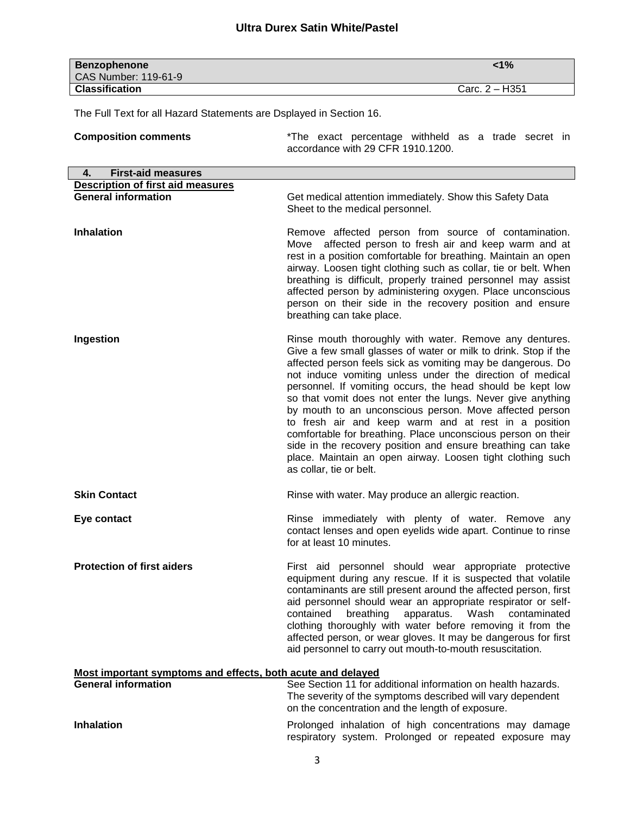| <b>Benzophenone</b>   | $< 1\%$          |
|-----------------------|------------------|
| CAS Number: 119-61-9  |                  |
| <b>Classification</b> | Carc. $2 - H351$ |

The Full Text for all Hazard Statements are Dsplayed in Section 16.

| <b>Composition comments</b>                                 | *The exact percentage withheld as a trade secret in<br>accordance with 29 CFR 1910.1200.                                                                                                                                                                                                                                                                                                                                                                                                                                                                                                                                                                                                                                       |  |
|-------------------------------------------------------------|--------------------------------------------------------------------------------------------------------------------------------------------------------------------------------------------------------------------------------------------------------------------------------------------------------------------------------------------------------------------------------------------------------------------------------------------------------------------------------------------------------------------------------------------------------------------------------------------------------------------------------------------------------------------------------------------------------------------------------|--|
| <b>First-aid measures</b><br>4.                             |                                                                                                                                                                                                                                                                                                                                                                                                                                                                                                                                                                                                                                                                                                                                |  |
| <b>Description of first aid measures</b>                    |                                                                                                                                                                                                                                                                                                                                                                                                                                                                                                                                                                                                                                                                                                                                |  |
| <b>General information</b>                                  | Get medical attention immediately. Show this Safety Data<br>Sheet to the medical personnel.                                                                                                                                                                                                                                                                                                                                                                                                                                                                                                                                                                                                                                    |  |
| <b>Inhalation</b>                                           | Remove affected person from source of contamination.<br>Move affected person to fresh air and keep warm and at<br>rest in a position comfortable for breathing. Maintain an open<br>airway. Loosen tight clothing such as collar, tie or belt. When<br>breathing is difficult, properly trained personnel may assist<br>affected person by administering oxygen. Place unconscious<br>person on their side in the recovery position and ensure<br>breathing can take place.                                                                                                                                                                                                                                                    |  |
| Ingestion                                                   | Rinse mouth thoroughly with water. Remove any dentures.<br>Give a few small glasses of water or milk to drink. Stop if the<br>affected person feels sick as vomiting may be dangerous. Do<br>not induce vomiting unless under the direction of medical<br>personnel. If vomiting occurs, the head should be kept low<br>so that vomit does not enter the lungs. Never give anything<br>by mouth to an unconscious person. Move affected person<br>to fresh air and keep warm and at rest in a position<br>comfortable for breathing. Place unconscious person on their<br>side in the recovery position and ensure breathing can take<br>place. Maintain an open airway. Loosen tight clothing such<br>as collar, tie or belt. |  |
| <b>Skin Contact</b>                                         | Rinse with water. May produce an allergic reaction.                                                                                                                                                                                                                                                                                                                                                                                                                                                                                                                                                                                                                                                                            |  |
| Eye contact                                                 | Rinse immediately with plenty of water. Remove any<br>contact lenses and open eyelids wide apart. Continue to rinse<br>for at least 10 minutes.                                                                                                                                                                                                                                                                                                                                                                                                                                                                                                                                                                                |  |
| <b>Protection of first aiders</b>                           | First aid personnel should wear appropriate protective<br>equipment during any rescue. If it is suspected that volatile<br>contaminants are still present around the affected person, first<br>aid personnel should wear an appropriate respirator or self-<br>breathing<br>apparatus. Wash<br>contained<br>contaminated<br>clothing thoroughly with water before removing it from the<br>affected person, or wear gloves. It may be dangerous for first<br>aid personnel to carry out mouth-to-mouth resuscitation.                                                                                                                                                                                                           |  |
| Most important symptoms and effects, both acute and delayed |                                                                                                                                                                                                                                                                                                                                                                                                                                                                                                                                                                                                                                                                                                                                |  |
| <b>General information</b>                                  | See Section 11 for additional information on health hazards.<br>The severity of the symptoms described will vary dependent<br>on the concentration and the length of exposure.                                                                                                                                                                                                                                                                                                                                                                                                                                                                                                                                                 |  |
| <b>Inhalation</b>                                           | Prolonged inhalation of high concentrations may damage<br>respiratory system. Prolonged or repeated exposure may                                                                                                                                                                                                                                                                                                                                                                                                                                                                                                                                                                                                               |  |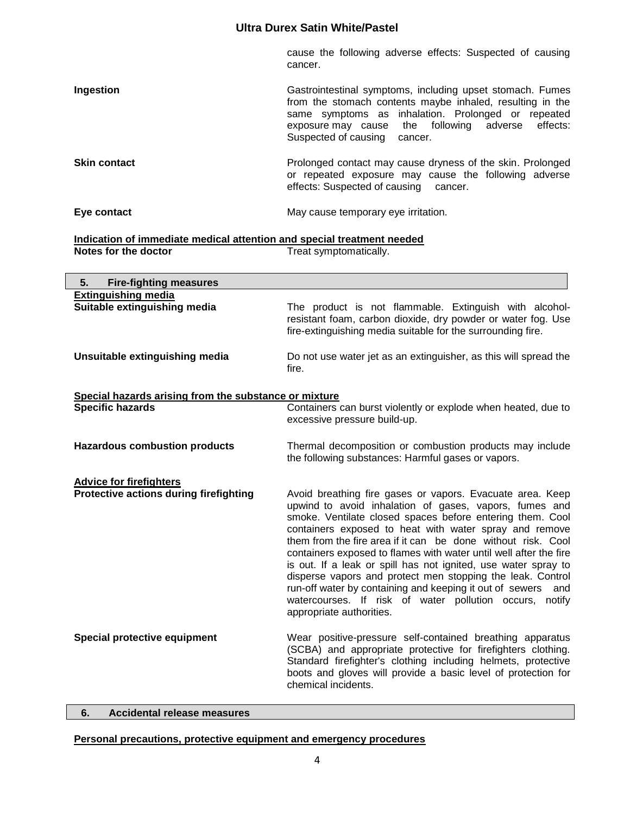cause the following adverse effects: Suspected of causing cancer.

or repeated exposure may cause the following adverse

effects: Suspected of causing cancer.

| Ingestion           | Gastrointestinal symptoms, including upset stomach. Fumes<br>from the stomach contents maybe inhaled, resulting in the<br>same symptoms as inhalation. Prolonged or repeated<br>exposure may cause the following adverse effects:<br>Suspected of causing<br>cancer. |
|---------------------|----------------------------------------------------------------------------------------------------------------------------------------------------------------------------------------------------------------------------------------------------------------------|
| <b>Skin contact</b> | Prolonged contact may cause dryness of the skin. Prolonged                                                                                                                                                                                                           |

**Eye contact Exercise 2018** May cause temporary eye irritation.

#### **Indication of immediate medical attention and special treatment needed<br>Notes for the doctor** Treat symptomatically. Treat symptomatically.

| <b>Fire-fighting measures</b><br>5.                        |                                                                                                                                                                                                                                                                                                                                                                                                                                                                                                                                                                                                                                                                        |
|------------------------------------------------------------|------------------------------------------------------------------------------------------------------------------------------------------------------------------------------------------------------------------------------------------------------------------------------------------------------------------------------------------------------------------------------------------------------------------------------------------------------------------------------------------------------------------------------------------------------------------------------------------------------------------------------------------------------------------------|
| <b>Extinguishing media</b><br>Suitable extinguishing media | The product is not flammable. Extinguish with alcohol-<br>resistant foam, carbon dioxide, dry powder or water fog. Use<br>fire-extinguishing media suitable for the surrounding fire.                                                                                                                                                                                                                                                                                                                                                                                                                                                                                  |
| Unsuitable extinguishing media                             | Do not use water jet as an extinguisher, as this will spread the<br>fire.                                                                                                                                                                                                                                                                                                                                                                                                                                                                                                                                                                                              |
| Special hazards arising from the substance or mixture      |                                                                                                                                                                                                                                                                                                                                                                                                                                                                                                                                                                                                                                                                        |
| <b>Specific hazards</b>                                    | Containers can burst violently or explode when heated, due to<br>excessive pressure build-up.                                                                                                                                                                                                                                                                                                                                                                                                                                                                                                                                                                          |
| <b>Hazardous combustion products</b>                       | Thermal decomposition or combustion products may include<br>the following substances: Harmful gases or vapors.                                                                                                                                                                                                                                                                                                                                                                                                                                                                                                                                                         |
| <b>Advice for firefighters</b>                             |                                                                                                                                                                                                                                                                                                                                                                                                                                                                                                                                                                                                                                                                        |
| <b>Protective actions during firefighting</b>              | Avoid breathing fire gases or vapors. Evacuate area. Keep<br>upwind to avoid inhalation of gases, vapors, fumes and<br>smoke. Ventilate closed spaces before entering them. Cool<br>containers exposed to heat with water spray and remove<br>them from the fire area if it can be done without risk. Cool<br>containers exposed to flames with water until well after the fire<br>is out. If a leak or spill has not ignited, use water spray to<br>disperse vapors and protect men stopping the leak. Control<br>run-off water by containing and keeping it out of sewers and<br>watercourses. If risk of water pollution occurs, notify<br>appropriate authorities. |
| Special protective equipment                               | Wear positive-pressure self-contained breathing apparatus<br>(SCBA) and appropriate protective for firefighters clothing.<br>Standard firefighter's clothing including helmets, protective<br>boots and gloves will provide a basic level of protection for<br>chemical incidents.                                                                                                                                                                                                                                                                                                                                                                                     |

#### **6. Accidental release measures**

#### **Personal precautions, protective equipment and emergency procedures**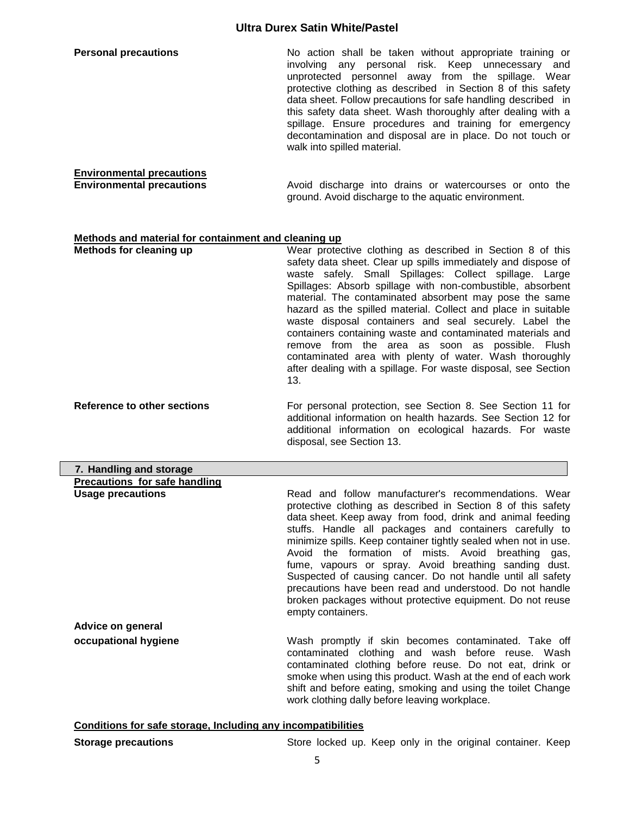| <b>Personal precautions</b>      | No action shall be taken without appropriate training or<br>involving any personal risk. Keep unnecessary and<br>unprotected personnel away from the spillage. Wear<br>protective clothing as described in Section 8 of this safety<br>data sheet. Follow precautions for safe handling described in<br>this safety data sheet. Wash thoroughly after dealing with a<br>spillage. Ensure procedures and training for emergency<br>decontamination and disposal are in place. Do not touch or<br>walk into spilled material. |
|----------------------------------|-----------------------------------------------------------------------------------------------------------------------------------------------------------------------------------------------------------------------------------------------------------------------------------------------------------------------------------------------------------------------------------------------------------------------------------------------------------------------------------------------------------------------------|
| <b>Environmental precautions</b> |                                                                                                                                                                                                                                                                                                                                                                                                                                                                                                                             |
| <b>Environmental precautions</b> | Avoid discharge into drains or watercourses or onto the<br>ground. Avoid discharge to the aquatic environment.                                                                                                                                                                                                                                                                                                                                                                                                              |

### **Methods and material for containment and cleaning up**

| Methods for cleaning up            | Wear protective clothing as described in Section 8 of this<br>safety data sheet. Clear up spills immediately and dispose of<br>waste safely. Small Spillages: Collect spillage. Large<br>Spillages: Absorb spillage with non-combustible, absorbent<br>material. The contaminated absorbent may pose the same<br>hazard as the spilled material. Collect and place in suitable<br>waste disposal containers and seal securely. Label the<br>containers containing waste and contaminated materials and<br>remove from the area as soon as possible. Flush<br>contaminated area with plenty of water. Wash thoroughly<br>after dealing with a spillage. For waste disposal, see Section<br>13. |
|------------------------------------|-----------------------------------------------------------------------------------------------------------------------------------------------------------------------------------------------------------------------------------------------------------------------------------------------------------------------------------------------------------------------------------------------------------------------------------------------------------------------------------------------------------------------------------------------------------------------------------------------------------------------------------------------------------------------------------------------|
| <b>Reference to other sections</b> | For personal protection, see Section 8. See Section 11 for                                                                                                                                                                                                                                                                                                                                                                                                                                                                                                                                                                                                                                    |

additional information on health hazards. See Section 12 for additional information on ecological hazards. For waste disposal, see Section 13.

| 7. Handling and storage       |                                                                                                                                                                                                                                                                                                                                                                                                                                                                                                                                                                                                                                              |
|-------------------------------|----------------------------------------------------------------------------------------------------------------------------------------------------------------------------------------------------------------------------------------------------------------------------------------------------------------------------------------------------------------------------------------------------------------------------------------------------------------------------------------------------------------------------------------------------------------------------------------------------------------------------------------------|
| Precautions for safe handling |                                                                                                                                                                                                                                                                                                                                                                                                                                                                                                                                                                                                                                              |
| <b>Usage precautions</b>      | Read and follow manufacturer's recommendations. Wear<br>protective clothing as described in Section 8 of this safety<br>data sheet. Keep away from food, drink and animal feeding<br>stuffs. Handle all packages and containers carefully to<br>minimize spills. Keep container tightly sealed when not in use.<br>Avoid the formation of mists. Avoid breathing gas,<br>fume, vapours or spray. Avoid breathing sanding dust.<br>Suspected of causing cancer. Do not handle until all safety<br>precautions have been read and understood. Do not handle<br>broken packages without protective equipment. Do not reuse<br>empty containers. |
| Advice on general             |                                                                                                                                                                                                                                                                                                                                                                                                                                                                                                                                                                                                                                              |
| occupational hygiene          | Wash promptly if skin becomes contaminated. Take off<br>contaminated clothing and wash before reuse. Wash<br>contaminated clothing before reuse. Do not eat, drink or<br>smoke when using this product. Wash at the end of each work<br>shift and before eating, smoking and using the toilet Change<br>work clothing dally before leaving workplace.                                                                                                                                                                                                                                                                                        |

# **Conditions for safe storage, Including any incompatibilities**

| <b>Storage precautions</b> |  |  | Store locked up. Keep only in the original container. Keep |
|----------------------------|--|--|------------------------------------------------------------|
|----------------------------|--|--|------------------------------------------------------------|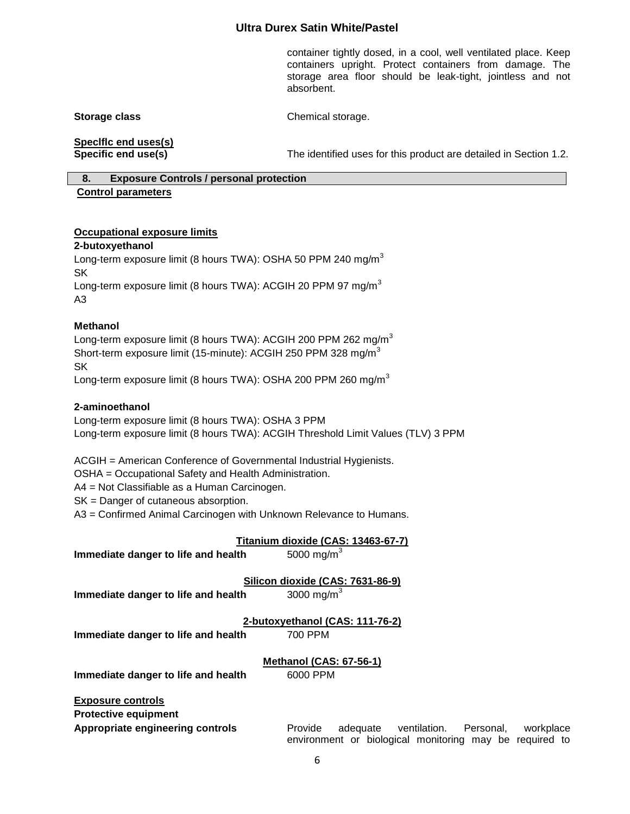container tightly dosed, in a cool, well ventilated place. Keep containers upright. Protect containers from damage. The storage area floor should be leak-tight, jointless and not absorbent.

**Storage class** Chemical storage.

**Speclflc end uses(s)**

**Specific end use(s)** The identified uses for this product are detailed in Section 1.2.

# **8. Exposure Controls / personal protection**

#### **Control parameters**

#### **Occupational exposure limits**

#### **2-butoxyethanol**

Long-term exposure limit (8 hours TWA): OSHA 50 PPM 240 mg/m<sup>3</sup> SK Long-term exposure limit (8 hours TWA): ACGIH 20 PPM 97 mg/m<sup>3</sup> A3

#### **Methanol**

Long-term exposure limit (8 hours TWA): ACGIH 200 PPM 262 mg/m<sup>3</sup> Short-term exposure limit (15-minute): ACGIH 250 PPM 328 mg/m<sup>3</sup> SK

Long-term exposure limit (8 hours TWA): OSHA 200 PPM 260 mg/m<sup>3</sup>

#### **2-aminoethanol**

Long-term exposure limit (8 hours TWA): OSHA 3 PPM Long-term exposure limit (8 hours TWA): ACGIH Threshold Limit Values (TLV) 3 PPM

ACGIH = American Conference of Governmental Industrial Hygienists.

OSHA = Occupational Safety and Health Administration.

A4 = Not Classifiable as a Human Carcinogen.

SK = Danger of cutaneous absorption.

A3 = Confirmed Animal Carcinogen with Unknown Relevance to Humans.

#### **Titanium dioxide (CAS: 13463-67-7)**

**Immediate danger to life and health** 5000 mg/m<sup>3</sup>

**Silicon dioxide (CAS: 7631-86-9)**

**Immediate danger to life and health** 3000 mg/m<sup>3</sup>

**2-butoxyethanol (CAS: 111-76-2)**

**Immediate danger to life and health 700 PPM** 

**Methanol (CAS: 67-56-1)**

**Immediate danger to life and health** 6000 PPM

**Exposure controls**

**Protective equipment**

**Appropriate engineering controls** Provide adequate ventilation. Personal, workplace environment or biological monitoring may be required to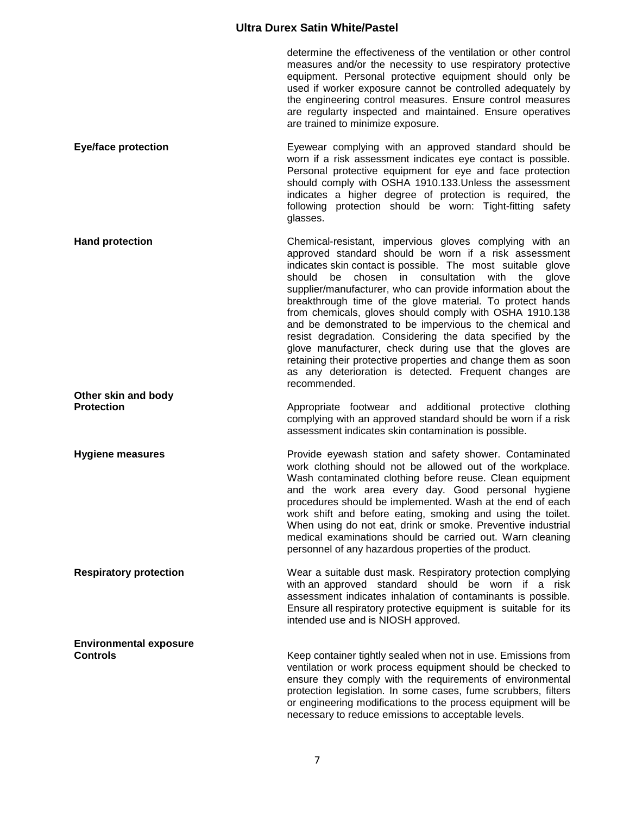determine the effectiveness of the ventilation or other control measures and/or the necessity to use respiratory protective equipment. Personal protective equipment should only be used if worker exposure cannot be controlled adequately by the engineering control measures. Ensure control measures are regularty inspected and maintained. Ensure operatives are trained to minimize exposure.

**Eye/face protection Eyewear complying with an approved standard should be** worn if a risk assessment indicates eye contact is possible. Personal protective equipment for eye and face protection should comply with OSHA 1910.133.Unless the assessment indicates a higher degree of protection is required, the following protection should be worn: Tight-fitting safety glasses.

**Hand protection Example 20 Chemical-resistant, impervious gloves complying with an** approved standard should be worn if a risk assessment indicates skin contact is possible. The most suitable glove should be chosen in consultation with the glove supplier/manufacturer, who can provide information about the breakthrough time of the glove material. To protect hands from chemicals, gloves should comply with OSHA 1910.138 and be demonstrated to be impervious to the chemical and resist degradation. Considering the data specified by the glove manufacturer, check during use that the gloves are retaining their protective properties and change them as soon as any deterioration is detected. Frequent changes are recommended. **Other skin and body** 

**Protection Appropriate** footwear and additional protective clothing complying with an approved standard should be worn if a risk assessment indicates skin contamination is possible.

**Hygiene measures Provide eyewash station and safety shower. Contaminated Hygiene measures** work clothing should not be allowed out of the workplace. Wash contaminated clothing before reuse. Clean equipment and the work area every day. Good personal hygiene procedures should be implemented. Wash at the end of each work shift and before eating, smoking and using the toilet. When using do not eat, drink or smoke. Preventive industrial medical examinations should be carried out. Warn cleaning personnel of any hazardous properties of the product.

**Respiratory protection** Wear a suitable dust mask. Respiratory protection complying with an approved standard should be worn if a risk assessment indicates inhalation of contaminants is possible. Ensure all respiratory protective equipment is suitable for its intended use and is NIOSH approved.

**Environmental exposure Controls** Container tightly sealed when not in use. Emissions from ventilation or work process equipment should be checked to ensure they comply with the requirements of environmental protection legislation. In some cases, fume scrubbers, filters or engineering modifications to the process equipment will be necessary to reduce emissions to acceptable levels.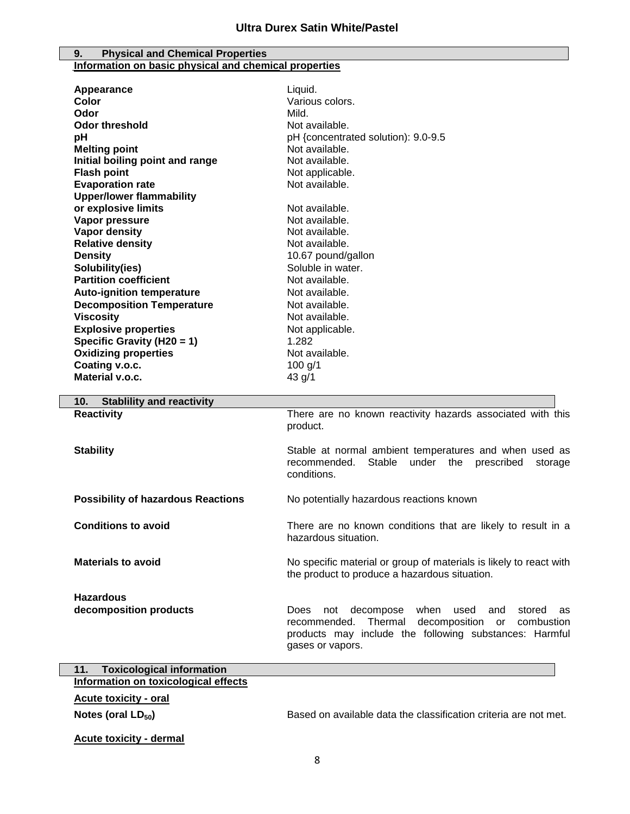#### **9. Physical and Chemical Properties Information on basic physical and chemical properties**

| Various colors.<br>Color<br>Odor<br>Mild.<br><b>Odor threshold</b><br>Not available.<br>pH<br>pH {concentrated solution): 9.0-9.5<br><b>Melting point</b><br>Not available.<br>Initial boiling point and range<br>Not available.<br><b>Flash point</b><br>Not applicable.<br><b>Evaporation rate</b><br>Not available.<br><b>Upper/lower flammability</b><br>or explosive limits<br>Not available.<br>Vapor pressure<br>Not available.<br><b>Vapor density</b><br>Not available.<br><b>Relative density</b><br>Not available.<br><b>Density</b><br>10.67 pound/gallon<br>Soluble in water.<br>Solubility(ies)<br><b>Partition coefficient</b><br>Not available.<br><b>Auto-ignition temperature</b><br>Not available.<br><b>Decomposition Temperature</b><br>Not available.<br><b>Viscosity</b><br>Not available.<br><b>Explosive properties</b><br>Not applicable.<br>Specific Gravity (H20 = 1)<br>1.282<br><b>Oxidizing properties</b><br>Not available.<br>Coating v.o.c.<br>100 $g/1$<br>Material v.o.c.<br>43 g/1<br><b>Stablility and reactivity</b><br>10.<br><b>Reactivity</b><br>There are no known reactivity hazards associated with this<br>product.<br><b>Stability</b><br>Stable at normal ambient temperatures and when used as<br>recommended.<br>Stable under the prescribed<br>storage<br>conditions.<br><b>Possibility of hazardous Reactions</b><br>No potentially hazardous reactions known<br><b>Conditions to avoid</b><br>There are no known conditions that are likely to result in a<br>hazardous situation.<br><b>Materials to avoid</b><br>No specific material or group of materials is likely to react with<br>the product to produce a hazardous situation.<br><b>Hazardous</b><br>decomposition products<br>decompose<br>when<br>used<br>Does<br>not<br>and<br>stored<br>as |            |                                                           |
|--------------------------------------------------------------------------------------------------------------------------------------------------------------------------------------------------------------------------------------------------------------------------------------------------------------------------------------------------------------------------------------------------------------------------------------------------------------------------------------------------------------------------------------------------------------------------------------------------------------------------------------------------------------------------------------------------------------------------------------------------------------------------------------------------------------------------------------------------------------------------------------------------------------------------------------------------------------------------------------------------------------------------------------------------------------------------------------------------------------------------------------------------------------------------------------------------------------------------------------------------------------------------------------------------------------------------------------------------------------------------------------------------------------------------------------------------------------------------------------------------------------------------------------------------------------------------------------------------------------------------------------------------------------------------------------------------------------------------------------------------------------------------------------------------------------|------------|-----------------------------------------------------------|
|                                                                                                                                                                                                                                                                                                                                                                                                                                                                                                                                                                                                                                                                                                                                                                                                                                                                                                                                                                                                                                                                                                                                                                                                                                                                                                                                                                                                                                                                                                                                                                                                                                                                                                                                                                                                              | Appearance | Liquid.                                                   |
|                                                                                                                                                                                                                                                                                                                                                                                                                                                                                                                                                                                                                                                                                                                                                                                                                                                                                                                                                                                                                                                                                                                                                                                                                                                                                                                                                                                                                                                                                                                                                                                                                                                                                                                                                                                                              |            |                                                           |
|                                                                                                                                                                                                                                                                                                                                                                                                                                                                                                                                                                                                                                                                                                                                                                                                                                                                                                                                                                                                                                                                                                                                                                                                                                                                                                                                                                                                                                                                                                                                                                                                                                                                                                                                                                                                              |            |                                                           |
|                                                                                                                                                                                                                                                                                                                                                                                                                                                                                                                                                                                                                                                                                                                                                                                                                                                                                                                                                                                                                                                                                                                                                                                                                                                                                                                                                                                                                                                                                                                                                                                                                                                                                                                                                                                                              |            |                                                           |
|                                                                                                                                                                                                                                                                                                                                                                                                                                                                                                                                                                                                                                                                                                                                                                                                                                                                                                                                                                                                                                                                                                                                                                                                                                                                                                                                                                                                                                                                                                                                                                                                                                                                                                                                                                                                              |            |                                                           |
|                                                                                                                                                                                                                                                                                                                                                                                                                                                                                                                                                                                                                                                                                                                                                                                                                                                                                                                                                                                                                                                                                                                                                                                                                                                                                                                                                                                                                                                                                                                                                                                                                                                                                                                                                                                                              |            |                                                           |
|                                                                                                                                                                                                                                                                                                                                                                                                                                                                                                                                                                                                                                                                                                                                                                                                                                                                                                                                                                                                                                                                                                                                                                                                                                                                                                                                                                                                                                                                                                                                                                                                                                                                                                                                                                                                              |            |                                                           |
|                                                                                                                                                                                                                                                                                                                                                                                                                                                                                                                                                                                                                                                                                                                                                                                                                                                                                                                                                                                                                                                                                                                                                                                                                                                                                                                                                                                                                                                                                                                                                                                                                                                                                                                                                                                                              |            |                                                           |
|                                                                                                                                                                                                                                                                                                                                                                                                                                                                                                                                                                                                                                                                                                                                                                                                                                                                                                                                                                                                                                                                                                                                                                                                                                                                                                                                                                                                                                                                                                                                                                                                                                                                                                                                                                                                              |            |                                                           |
|                                                                                                                                                                                                                                                                                                                                                                                                                                                                                                                                                                                                                                                                                                                                                                                                                                                                                                                                                                                                                                                                                                                                                                                                                                                                                                                                                                                                                                                                                                                                                                                                                                                                                                                                                                                                              |            |                                                           |
|                                                                                                                                                                                                                                                                                                                                                                                                                                                                                                                                                                                                                                                                                                                                                                                                                                                                                                                                                                                                                                                                                                                                                                                                                                                                                                                                                                                                                                                                                                                                                                                                                                                                                                                                                                                                              |            |                                                           |
|                                                                                                                                                                                                                                                                                                                                                                                                                                                                                                                                                                                                                                                                                                                                                                                                                                                                                                                                                                                                                                                                                                                                                                                                                                                                                                                                                                                                                                                                                                                                                                                                                                                                                                                                                                                                              |            |                                                           |
|                                                                                                                                                                                                                                                                                                                                                                                                                                                                                                                                                                                                                                                                                                                                                                                                                                                                                                                                                                                                                                                                                                                                                                                                                                                                                                                                                                                                                                                                                                                                                                                                                                                                                                                                                                                                              |            |                                                           |
|                                                                                                                                                                                                                                                                                                                                                                                                                                                                                                                                                                                                                                                                                                                                                                                                                                                                                                                                                                                                                                                                                                                                                                                                                                                                                                                                                                                                                                                                                                                                                                                                                                                                                                                                                                                                              |            |                                                           |
|                                                                                                                                                                                                                                                                                                                                                                                                                                                                                                                                                                                                                                                                                                                                                                                                                                                                                                                                                                                                                                                                                                                                                                                                                                                                                                                                                                                                                                                                                                                                                                                                                                                                                                                                                                                                              |            |                                                           |
|                                                                                                                                                                                                                                                                                                                                                                                                                                                                                                                                                                                                                                                                                                                                                                                                                                                                                                                                                                                                                                                                                                                                                                                                                                                                                                                                                                                                                                                                                                                                                                                                                                                                                                                                                                                                              |            |                                                           |
|                                                                                                                                                                                                                                                                                                                                                                                                                                                                                                                                                                                                                                                                                                                                                                                                                                                                                                                                                                                                                                                                                                                                                                                                                                                                                                                                                                                                                                                                                                                                                                                                                                                                                                                                                                                                              |            |                                                           |
|                                                                                                                                                                                                                                                                                                                                                                                                                                                                                                                                                                                                                                                                                                                                                                                                                                                                                                                                                                                                                                                                                                                                                                                                                                                                                                                                                                                                                                                                                                                                                                                                                                                                                                                                                                                                              |            |                                                           |
|                                                                                                                                                                                                                                                                                                                                                                                                                                                                                                                                                                                                                                                                                                                                                                                                                                                                                                                                                                                                                                                                                                                                                                                                                                                                                                                                                                                                                                                                                                                                                                                                                                                                                                                                                                                                              |            |                                                           |
|                                                                                                                                                                                                                                                                                                                                                                                                                                                                                                                                                                                                                                                                                                                                                                                                                                                                                                                                                                                                                                                                                                                                                                                                                                                                                                                                                                                                                                                                                                                                                                                                                                                                                                                                                                                                              |            |                                                           |
|                                                                                                                                                                                                                                                                                                                                                                                                                                                                                                                                                                                                                                                                                                                                                                                                                                                                                                                                                                                                                                                                                                                                                                                                                                                                                                                                                                                                                                                                                                                                                                                                                                                                                                                                                                                                              |            |                                                           |
|                                                                                                                                                                                                                                                                                                                                                                                                                                                                                                                                                                                                                                                                                                                                                                                                                                                                                                                                                                                                                                                                                                                                                                                                                                                                                                                                                                                                                                                                                                                                                                                                                                                                                                                                                                                                              |            |                                                           |
|                                                                                                                                                                                                                                                                                                                                                                                                                                                                                                                                                                                                                                                                                                                                                                                                                                                                                                                                                                                                                                                                                                                                                                                                                                                                                                                                                                                                                                                                                                                                                                                                                                                                                                                                                                                                              |            |                                                           |
|                                                                                                                                                                                                                                                                                                                                                                                                                                                                                                                                                                                                                                                                                                                                                                                                                                                                                                                                                                                                                                                                                                                                                                                                                                                                                                                                                                                                                                                                                                                                                                                                                                                                                                                                                                                                              |            |                                                           |
|                                                                                                                                                                                                                                                                                                                                                                                                                                                                                                                                                                                                                                                                                                                                                                                                                                                                                                                                                                                                                                                                                                                                                                                                                                                                                                                                                                                                                                                                                                                                                                                                                                                                                                                                                                                                              |            |                                                           |
|                                                                                                                                                                                                                                                                                                                                                                                                                                                                                                                                                                                                                                                                                                                                                                                                                                                                                                                                                                                                                                                                                                                                                                                                                                                                                                                                                                                                                                                                                                                                                                                                                                                                                                                                                                                                              |            |                                                           |
|                                                                                                                                                                                                                                                                                                                                                                                                                                                                                                                                                                                                                                                                                                                                                                                                                                                                                                                                                                                                                                                                                                                                                                                                                                                                                                                                                                                                                                                                                                                                                                                                                                                                                                                                                                                                              |            |                                                           |
|                                                                                                                                                                                                                                                                                                                                                                                                                                                                                                                                                                                                                                                                                                                                                                                                                                                                                                                                                                                                                                                                                                                                                                                                                                                                                                                                                                                                                                                                                                                                                                                                                                                                                                                                                                                                              |            |                                                           |
|                                                                                                                                                                                                                                                                                                                                                                                                                                                                                                                                                                                                                                                                                                                                                                                                                                                                                                                                                                                                                                                                                                                                                                                                                                                                                                                                                                                                                                                                                                                                                                                                                                                                                                                                                                                                              |            |                                                           |
|                                                                                                                                                                                                                                                                                                                                                                                                                                                                                                                                                                                                                                                                                                                                                                                                                                                                                                                                                                                                                                                                                                                                                                                                                                                                                                                                                                                                                                                                                                                                                                                                                                                                                                                                                                                                              |            |                                                           |
|                                                                                                                                                                                                                                                                                                                                                                                                                                                                                                                                                                                                                                                                                                                                                                                                                                                                                                                                                                                                                                                                                                                                                                                                                                                                                                                                                                                                                                                                                                                                                                                                                                                                                                                                                                                                              |            |                                                           |
|                                                                                                                                                                                                                                                                                                                                                                                                                                                                                                                                                                                                                                                                                                                                                                                                                                                                                                                                                                                                                                                                                                                                                                                                                                                                                                                                                                                                                                                                                                                                                                                                                                                                                                                                                                                                              |            |                                                           |
|                                                                                                                                                                                                                                                                                                                                                                                                                                                                                                                                                                                                                                                                                                                                                                                                                                                                                                                                                                                                                                                                                                                                                                                                                                                                                                                                                                                                                                                                                                                                                                                                                                                                                                                                                                                                              |            |                                                           |
|                                                                                                                                                                                                                                                                                                                                                                                                                                                                                                                                                                                                                                                                                                                                                                                                                                                                                                                                                                                                                                                                                                                                                                                                                                                                                                                                                                                                                                                                                                                                                                                                                                                                                                                                                                                                              |            |                                                           |
|                                                                                                                                                                                                                                                                                                                                                                                                                                                                                                                                                                                                                                                                                                                                                                                                                                                                                                                                                                                                                                                                                                                                                                                                                                                                                                                                                                                                                                                                                                                                                                                                                                                                                                                                                                                                              |            |                                                           |
|                                                                                                                                                                                                                                                                                                                                                                                                                                                                                                                                                                                                                                                                                                                                                                                                                                                                                                                                                                                                                                                                                                                                                                                                                                                                                                                                                                                                                                                                                                                                                                                                                                                                                                                                                                                                              |            |                                                           |
|                                                                                                                                                                                                                                                                                                                                                                                                                                                                                                                                                                                                                                                                                                                                                                                                                                                                                                                                                                                                                                                                                                                                                                                                                                                                                                                                                                                                                                                                                                                                                                                                                                                                                                                                                                                                              |            |                                                           |
|                                                                                                                                                                                                                                                                                                                                                                                                                                                                                                                                                                                                                                                                                                                                                                                                                                                                                                                                                                                                                                                                                                                                                                                                                                                                                                                                                                                                                                                                                                                                                                                                                                                                                                                                                                                                              |            |                                                           |
|                                                                                                                                                                                                                                                                                                                                                                                                                                                                                                                                                                                                                                                                                                                                                                                                                                                                                                                                                                                                                                                                                                                                                                                                                                                                                                                                                                                                                                                                                                                                                                                                                                                                                                                                                                                                              |            |                                                           |
|                                                                                                                                                                                                                                                                                                                                                                                                                                                                                                                                                                                                                                                                                                                                                                                                                                                                                                                                                                                                                                                                                                                                                                                                                                                                                                                                                                                                                                                                                                                                                                                                                                                                                                                                                                                                              |            |                                                           |
|                                                                                                                                                                                                                                                                                                                                                                                                                                                                                                                                                                                                                                                                                                                                                                                                                                                                                                                                                                                                                                                                                                                                                                                                                                                                                                                                                                                                                                                                                                                                                                                                                                                                                                                                                                                                              |            |                                                           |
|                                                                                                                                                                                                                                                                                                                                                                                                                                                                                                                                                                                                                                                                                                                                                                                                                                                                                                                                                                                                                                                                                                                                                                                                                                                                                                                                                                                                                                                                                                                                                                                                                                                                                                                                                                                                              |            |                                                           |
|                                                                                                                                                                                                                                                                                                                                                                                                                                                                                                                                                                                                                                                                                                                                                                                                                                                                                                                                                                                                                                                                                                                                                                                                                                                                                                                                                                                                                                                                                                                                                                                                                                                                                                                                                                                                              |            |                                                           |
|                                                                                                                                                                                                                                                                                                                                                                                                                                                                                                                                                                                                                                                                                                                                                                                                                                                                                                                                                                                                                                                                                                                                                                                                                                                                                                                                                                                                                                                                                                                                                                                                                                                                                                                                                                                                              |            |                                                           |
|                                                                                                                                                                                                                                                                                                                                                                                                                                                                                                                                                                                                                                                                                                                                                                                                                                                                                                                                                                                                                                                                                                                                                                                                                                                                                                                                                                                                                                                                                                                                                                                                                                                                                                                                                                                                              |            | decomposition or<br>Thermal<br>combustion<br>recommended. |
| products may include the following substances: Harmful                                                                                                                                                                                                                                                                                                                                                                                                                                                                                                                                                                                                                                                                                                                                                                                                                                                                                                                                                                                                                                                                                                                                                                                                                                                                                                                                                                                                                                                                                                                                                                                                                                                                                                                                                       |            |                                                           |
| gases or vapors.                                                                                                                                                                                                                                                                                                                                                                                                                                                                                                                                                                                                                                                                                                                                                                                                                                                                                                                                                                                                                                                                                                                                                                                                                                                                                                                                                                                                                                                                                                                                                                                                                                                                                                                                                                                             |            |                                                           |

| <b>Toxicological information</b><br>11. |                                                                  |
|-----------------------------------------|------------------------------------------------------------------|
| Information on toxicological effects    |                                                                  |
| <b>Acute toxicity - oral</b>            |                                                                  |
| Notes (oral $LD_{50}$ )                 | Based on available data the classification criteria are not met. |
| Acute toxicity - dermal                 |                                                                  |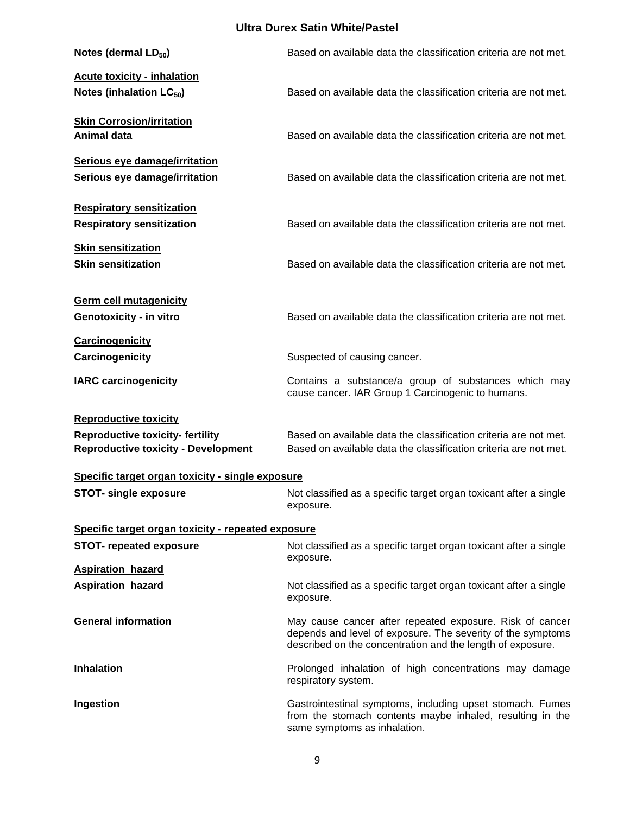| Notes (dermal LD <sub>50</sub> )                                                                                     | Based on available data the classification criteria are not met.                                                                                                                      |  |
|----------------------------------------------------------------------------------------------------------------------|---------------------------------------------------------------------------------------------------------------------------------------------------------------------------------------|--|
| <b>Acute toxicity - inhalation</b><br>Notes (inhalation LC <sub>50</sub> )                                           | Based on available data the classification criteria are not met.                                                                                                                      |  |
| <b>Skin Corrosion/irritation</b><br><b>Animal data</b>                                                               | Based on available data the classification criteria are not met.                                                                                                                      |  |
| Serious eye damage/irritation<br>Serious eye damage/irritation                                                       | Based on available data the classification criteria are not met.                                                                                                                      |  |
| <b>Respiratory sensitization</b><br><b>Respiratory sensitization</b>                                                 | Based on available data the classification criteria are not met.                                                                                                                      |  |
| <b>Skin sensitization</b><br><b>Skin sensitization</b>                                                               | Based on available data the classification criteria are not met.                                                                                                                      |  |
| <b>Germ cell mutagenicity</b><br>Genotoxicity - in vitro                                                             | Based on available data the classification criteria are not met.                                                                                                                      |  |
| <b>Carcinogenicity</b><br>Carcinogenicity                                                                            | Suspected of causing cancer.                                                                                                                                                          |  |
| <b>IARC carcinogenicity</b>                                                                                          | Contains a substance/a group of substances which may<br>cause cancer. IAR Group 1 Carcinogenic to humans.                                                                             |  |
| <b>Reproductive toxicity</b><br><b>Reproductive toxicity-fertility</b><br><b>Reproductive toxicity - Development</b> | Based on available data the classification criteria are not met.<br>Based on available data the classification criteria are not met.                                                  |  |
| Specific target organ toxicity - single exposure                                                                     |                                                                                                                                                                                       |  |
| <b>STOT- single exposure</b>                                                                                         | Not classified as a specific target organ toxicant after a single<br>exposure.                                                                                                        |  |
| Specific target organ toxicity - repeated exposure                                                                   |                                                                                                                                                                                       |  |
| <b>STOT-</b> repeated exposure                                                                                       | Not classified as a specific target organ toxicant after a single<br>exposure.                                                                                                        |  |
| <b>Aspiration hazard</b><br><b>Aspiration hazard</b>                                                                 | Not classified as a specific target organ toxicant after a single<br>exposure.                                                                                                        |  |
| <b>General information</b>                                                                                           | May cause cancer after repeated exposure. Risk of cancer<br>depends and level of exposure. The severity of the symptoms<br>described on the concentration and the length of exposure. |  |
| <b>Inhalation</b>                                                                                                    | Prolonged inhalation of high concentrations may damage<br>respiratory system.                                                                                                         |  |
| Ingestion                                                                                                            | Gastrointestinal symptoms, including upset stomach. Fumes<br>from the stomach contents maybe inhaled, resulting in the<br>same symptoms as inhalation.                                |  |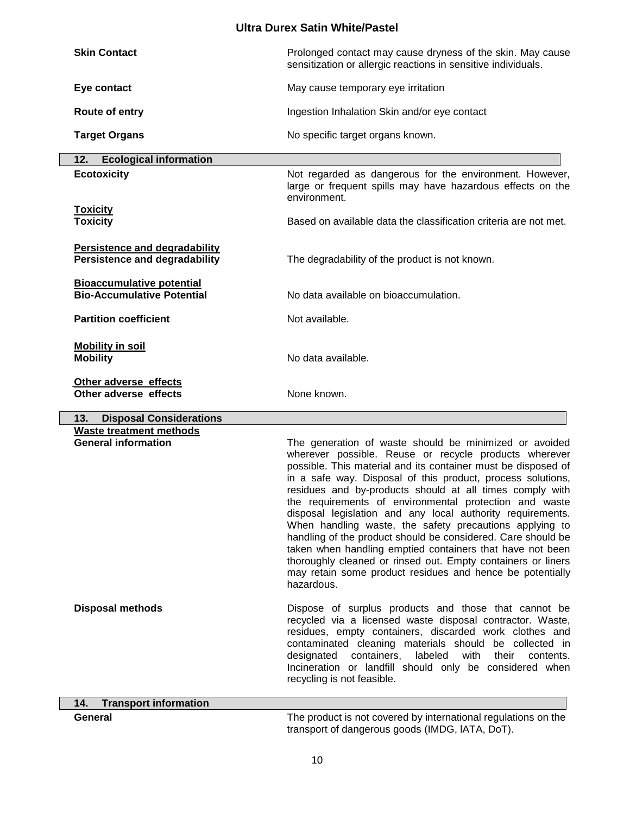| <b>Skin Contact</b>                                                          | Prolonged contact may cause dryness of the skin. May cause<br>sensitization or allergic reactions in sensitive individuals.                                                                                                                                                                                                                                                                                                                                                                                                                                                                                                                                                                                                                                            |
|------------------------------------------------------------------------------|------------------------------------------------------------------------------------------------------------------------------------------------------------------------------------------------------------------------------------------------------------------------------------------------------------------------------------------------------------------------------------------------------------------------------------------------------------------------------------------------------------------------------------------------------------------------------------------------------------------------------------------------------------------------------------------------------------------------------------------------------------------------|
| Eye contact                                                                  | May cause temporary eye irritation                                                                                                                                                                                                                                                                                                                                                                                                                                                                                                                                                                                                                                                                                                                                     |
| Route of entry                                                               | Ingestion Inhalation Skin and/or eye contact                                                                                                                                                                                                                                                                                                                                                                                                                                                                                                                                                                                                                                                                                                                           |
| <b>Target Organs</b>                                                         | No specific target organs known.                                                                                                                                                                                                                                                                                                                                                                                                                                                                                                                                                                                                                                                                                                                                       |
| <b>Ecological information</b><br>12.                                         |                                                                                                                                                                                                                                                                                                                                                                                                                                                                                                                                                                                                                                                                                                                                                                        |
| <b>Ecotoxicity</b>                                                           | Not regarded as dangerous for the environment. However,<br>large or frequent spills may have hazardous effects on the<br>environment.                                                                                                                                                                                                                                                                                                                                                                                                                                                                                                                                                                                                                                  |
| <b>Toxicity</b><br><b>Toxicity</b>                                           | Based on available data the classification criteria are not met.                                                                                                                                                                                                                                                                                                                                                                                                                                                                                                                                                                                                                                                                                                       |
| <b>Persistence and degradability</b><br><b>Persistence and degradability</b> | The degradability of the product is not known.                                                                                                                                                                                                                                                                                                                                                                                                                                                                                                                                                                                                                                                                                                                         |
| <b>Bioaccumulative potential</b><br><b>Bio-Accumulative Potential</b>        | No data available on bioaccumulation.                                                                                                                                                                                                                                                                                                                                                                                                                                                                                                                                                                                                                                                                                                                                  |
| <b>Partition coefficient</b>                                                 | Not available.                                                                                                                                                                                                                                                                                                                                                                                                                                                                                                                                                                                                                                                                                                                                                         |
| <b>Mobility in soil</b><br><b>Mobility</b>                                   | No data available.                                                                                                                                                                                                                                                                                                                                                                                                                                                                                                                                                                                                                                                                                                                                                     |
| Other adverse effects<br>Other adverse effects                               | None known.                                                                                                                                                                                                                                                                                                                                                                                                                                                                                                                                                                                                                                                                                                                                                            |
| <b>Disposal Considerations</b><br>13.                                        |                                                                                                                                                                                                                                                                                                                                                                                                                                                                                                                                                                                                                                                                                                                                                                        |
| <b>Waste treatment methods</b><br><b>General information</b>                 | The generation of waste should be minimized or avoided<br>wherever possible. Reuse or recycle products wherever<br>possible. This material and its container must be disposed of<br>in a safe way. Disposal of this product, process solutions,<br>residues and by-products should at all times comply with<br>the requirements of environmental protection and waste<br>disposal legislation and any local authority requirements.<br>When handling waste, the safety precautions applying to<br>handling of the product should be considered. Care should be<br>taken when handling emptied containers that have not been<br>thoroughly cleaned or rinsed out. Empty containers or liners<br>may retain some product residues and hence be potentially<br>hazardous. |

**Disposal methods Dispose of surplus products and those that cannot be** recycled via a licensed waste disposal contractor. Waste, residues, empty containers, discarded work clothes and contaminated cleaning materials should be collected in designated containers, labeled with their contents. Incineration or landfill should only be considered when recycling is not feasible.

**14. Transport information**

**General** The product is not covered by international regulations on the transport of dangerous goods (IMDG, lATA, DoT).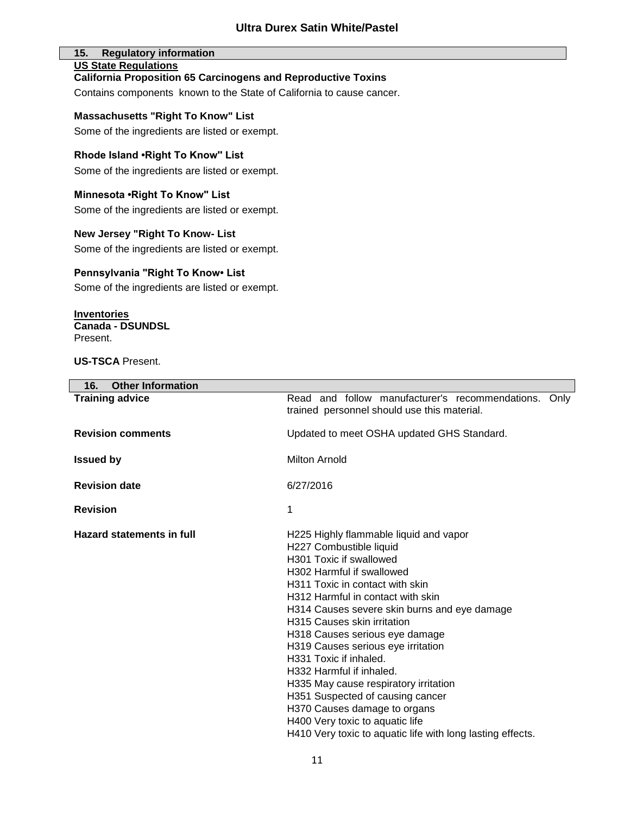#### **15. Regulatory information US State Regulations**

#### **California Proposition 65 Carcinogens and Reproductive Toxins**

Contains components known to the State of California to cause cancer.

**Massachusetts "Right To Know" List**

Some of the ingredients are listed or exempt.

#### **Rhode Island •Right To Know'' List**

Some of the ingredients are listed or exempt.

**Minnesota •Right To Know'' List** Some of the ingredients are listed or exempt.

#### **New Jersey "Right To Know- List**

Some of the ingredients are listed or exempt.

#### **Pennsylvania "Right To Know• List**

Some of the ingredients are listed or exempt.

**Inventories Canada - DSUNDSL**  Present.

**US-TSCA** Present.

| <b>Other Information</b><br>16.  |                                                                                                                                                                                                                                                                                                                                                                                                                                                                                                                                                                                                                                     |
|----------------------------------|-------------------------------------------------------------------------------------------------------------------------------------------------------------------------------------------------------------------------------------------------------------------------------------------------------------------------------------------------------------------------------------------------------------------------------------------------------------------------------------------------------------------------------------------------------------------------------------------------------------------------------------|
| <b>Training advice</b>           | Read and follow manufacturer's recommendations. Only<br>trained personnel should use this material.                                                                                                                                                                                                                                                                                                                                                                                                                                                                                                                                 |
| <b>Revision comments</b>         | Updated to meet OSHA updated GHS Standard.                                                                                                                                                                                                                                                                                                                                                                                                                                                                                                                                                                                          |
| <b>Issued by</b>                 | <b>Milton Arnold</b>                                                                                                                                                                                                                                                                                                                                                                                                                                                                                                                                                                                                                |
| <b>Revision date</b>             | 6/27/2016                                                                                                                                                                                                                                                                                                                                                                                                                                                                                                                                                                                                                           |
| <b>Revision</b>                  | 1                                                                                                                                                                                                                                                                                                                                                                                                                                                                                                                                                                                                                                   |
| <b>Hazard statements in full</b> | H225 Highly flammable liquid and vapor<br>H227 Combustible liquid<br>H301 Toxic if swallowed<br>H302 Harmful if swallowed<br>H311 Toxic in contact with skin<br>H312 Harmful in contact with skin<br>H314 Causes severe skin burns and eye damage<br><b>H315 Causes skin irritation</b><br>H318 Causes serious eye damage<br>H319 Causes serious eye irritation<br>H331 Toxic if inhaled.<br>H332 Harmful if inhaled.<br>H335 May cause respiratory irritation<br>H351 Suspected of causing cancer<br>H370 Causes damage to organs<br>H400 Very toxic to aquatic life<br>H410 Very toxic to aquatic life with long lasting effects. |